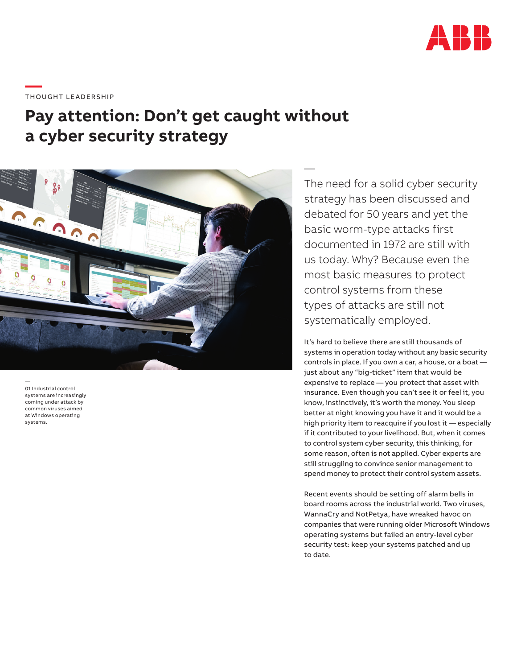

\_\_\_\_\_<br>THOUGHT LEADERSHIP

# **Pay attention: Don't get caught without a cyber security strategy**



— 01 Industrial control systems are increasingly coming under attack by common viruses aimed at Windows operating systems.

The need for a solid cyber security strategy has been discussed and debated for 50 years and yet the basic worm-type attacks first documented in 1972 are still with us today. Why? Because even the most basic measures to protect control systems from these types of attacks are still not systematically employed.

—

It's hard to believe there are still thousands of systems in operation today without any basic security controls in place. If you own a car, a house, or a boat just about any "big-ticket" item that would be expensive to replace — you protect that asset with insurance. Even though you can't see it or feel it, you know, instinctively, it's worth the money. You sleep better at night knowing you have it and it would be a high priority item to reacquire if you lost it — especially if it contributed to your livelihood. But, when it comes to control system cyber security, this thinking, for some reason, often is not applied. Cyber experts are still struggling to convince senior management to spend money to protect their control system assets.

Recent events should be setting off alarm bells in board rooms across the industrial world. Two viruses, WannaCry and NotPetya, have wreaked havoc on companies that were running older Microsoft Windows operating systems but failed an entry-level cyber security test: keep your systems patched and up to date.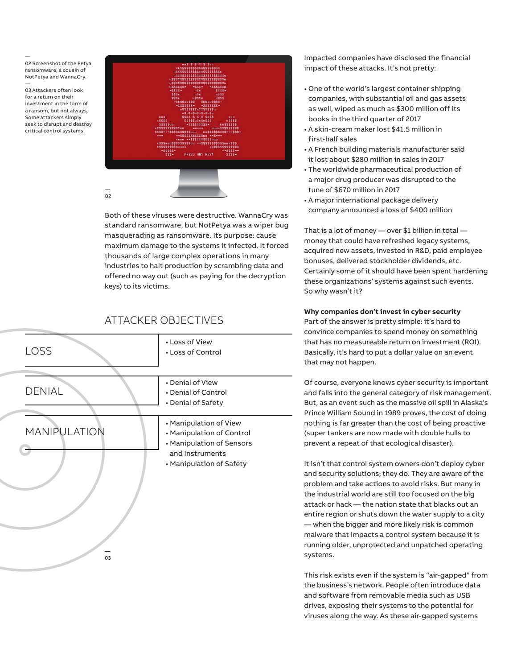— 02 Screenshot of the Petya ransomware, a cousin of NotPetya and WannaCry.

— 03 Attackers often look for a return on their investment in the form of a ransom, but not always. Some attackers simply seek to disrupt and destroy critical control systems.



Both of these viruses were destructive. WannaCry was standard ransomware, but NotPetya was a wiper bug masquerading as ransomware. Its purpose: cause maximum damage to the systems it infected. It forced thousands of large complex operations in many industries to halt production by scrambling data and offered no way out (such as paying for the decryption keys) to its victims.

### ATTACKER OBJECTIVES



Impacted companies have disclosed the financial impact of these attacks. It's not pretty:

- One of the world's largest container shipping companies, with substantial oil and gas assets as well, wiped as much as \$300 million off its books in the third quarter of 2017
- A skin-cream maker lost \$41.5 million in first-half sales
- A French building materials manufacturer said it lost about \$280 million in sales in 2017
- The worldwide pharmaceutical production of a major drug producer was disrupted to the tune of \$670 million in 2017
- A major international package delivery company announced a loss of \$400 million

That is a lot of money — over \$1 billion in total money that could have refreshed legacy systems, acquired new assets, invested in R&D, paid employee bonuses, delivered stockholder dividends, etc. Certainly some of it should have been spent hardening these organizations' systems against such events. So why wasn't it?

**Why companies don't invest in cyber security**

Part of the answer is pretty simple: it's hard to convince companies to spend money on something that has no measureable return on investment (ROI). Basically, it's hard to put a dollar value on an event that may not happen.

Of course, everyone knows cyber security is important and falls into the general category of risk management. But, as an event such as the massive oil spill in Alaska's Prince William Sound in 1989 proves, the cost of doing nothing is far greater than the cost of being proactive (super tankers are now made with double hulls to prevent a repeat of that ecological disaster).

It isn't that control system owners don't deploy cyber and security solutions; they do. They are aware of the problem and take actions to avoid risks. But many in the industrial world are still too focused on the big attack or hack — the nation state that blacks out an entire region or shuts down the water supply to a city — when the bigger and more likely risk is common malware that impacts a control system because it is running older, unprotected and unpatched operating systems.

This risk exists even if the system is "air-gapped" from the business's network. People often introduce data and software from removable media such as USB drives, exposing their systems to the potential for viruses along the way. As these air-gapped systems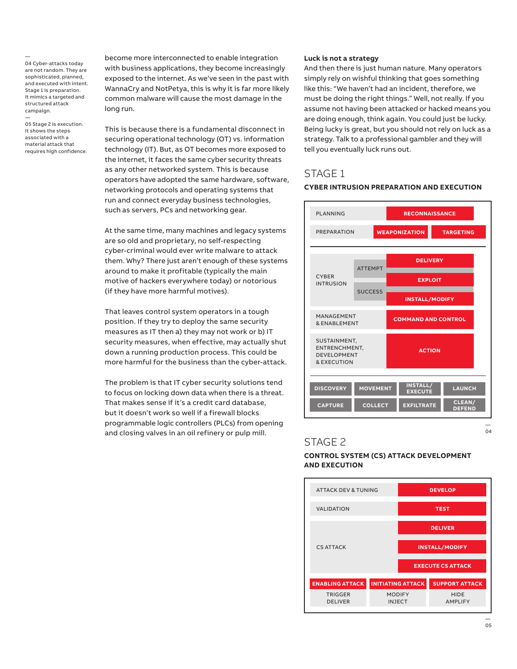— 04 Cyber-attacks today are not random. They are sophisticated, planned, and executed with intent. Stage 1 is preparation. It mimics a targeted and structured attack campaign. —

05 Stage 2 is execution. It shows the steps associated with a material attack that requires high confidence. become more interconnected to enable integration with business applications, they become increasingly exposed to the internet. As we've seen in the past with WannaCry and NotPetya, this is why it is far more likely common malware will cause the most damage in the long run.

This is because there is a fundamental disconnect in securing operational technology (OT) vs. information technology (IT). But, as OT becomes more exposed to the internet, it faces the same cyber security threats as any other networked system. This is because operators have adopted the same hardware, software, networking protocols and operating systems that run and connect everyday business technologies, such as servers, PCs and networking gear.

At the same time, many machines and legacy systems are so old and proprietary, no self-respecting cyber-criminal would ever write malware to attack them. Why? There just aren't enough of these systems around to make it profitable (typically the main motive of hackers everywhere today) or notorious (if they have more harmful motives).

That leaves control system operators in a tough position. If they try to deploy the same security measures as IT then a) they may not work or b) IT security measures, when effective, may actually shut down a running production process. This could be more harmful for the business than the cyber-attack.

The problem is that IT cyber security solutions tend to focus on locking down data when there is a threat. That makes sense if it's a credit card database, but it doesn't work so well if a firewall blocks programmable logic controllers (PLCs) from opening and closing valves in an oil refinery or pulp mill.

#### **Luck is not a strategy**

And then there is just human nature. Many operators simply rely on wishful thinking that goes something like this: "We haven't had an incident, therefore, we must be doing the right things." Well, not really. If you assume not having been attacked or hacked means you are doing enough, think again. You could just be lucky. Being lucky is great, but you should not rely on luck as a strategy. Talk to a professional gambler and they will tell you eventually luck runs out.

## STAGE 1

#### **CYBER INTRUSION PREPARATION AND EXECUTION**



### STAGE 2

#### **CONTROL SYSTEM (CS) ATTACK DEVELOPMENT AND EXECUTION**